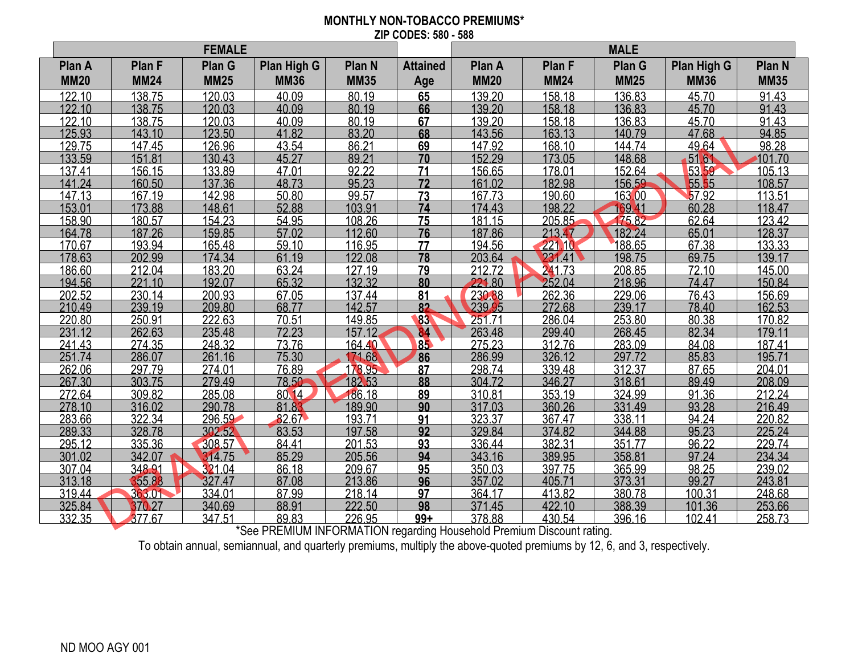## **MONTHLY NON-TOBACCO PREMIUMS\* ZIP CODES: 580 - 588**

| Plan G<br>Plan G<br>Plan High G<br>Plan High G<br>Plan A<br>Plan F<br>Plan N<br><b>Attained</b><br>Plan A<br><b>Plan F</b><br>Plan N<br><b>MM35</b><br><b>MM20</b><br><b>MM24</b><br><b>MM25</b><br><b>MM36</b><br><b>MM35</b><br><b>MM20</b><br><b>MM24</b><br><b>MM25</b><br><b>MM36</b><br>Age<br>122.10<br>138.75<br>120.03<br>40.09<br>80.19<br>65<br>139.20<br>158.18<br>136.83<br>45.70<br>91.43<br>80.19<br>122.10<br>120.03<br>40.09<br>66<br>139.20<br>136.83<br>91.43<br>138.75<br>158.18<br>45.70<br>122.10<br>138.75<br>120.03<br>80.19<br>139.20<br>136.83<br>91.43<br>40.09<br>67<br>158.18<br>45.70<br>123.50<br>83.20<br>68<br>143.56<br>94.85<br>125.93<br>143.10<br>41.82<br>163.13<br>140.79<br>47.68<br>126.96<br>86.21<br>98.28<br>129.75<br>69<br>147.92<br>144.74<br>49.64<br>147.45<br>43.54<br>168.10<br>152.29<br>133.59<br>130.43<br>89.21<br>70<br>148.68<br>151.81<br>45.27<br>173.05<br>5161<br>101.70<br>133.89<br>92.22<br>5359<br>71<br>156.65<br>152.64<br>105.13<br>137.41<br>156.15<br>47.01<br>178.01<br>95.23<br>137.36<br>72<br>161.02<br>182.98<br>156.59<br>55.55<br>160.50<br>48.73<br>108.57<br>141.24<br>142.98<br>99.57<br>163.00<br>57.92<br>113.51<br>147.13<br>167.19<br>50.80<br>73<br>167.73<br>190.60<br>103.91<br>148.61<br>74<br>169.41<br>60.28<br>153.01<br>173.88<br>52.88<br>174.43<br>198.22<br>118.47<br>108.26<br>175.82<br>158.90<br>154.23<br>54.95<br>181.15<br>205.85<br>62.64<br>123.42<br>180.57<br>75<br>159.85<br>65.01<br>164.78<br>187.26<br>57.02<br>112.60<br>76<br>187.86<br>182.24<br>128.37<br>213.47<br>188.65<br>165.48<br>59.10<br>116.95<br>194.56<br>133.33<br>170.67<br>193.94<br>$\overline{17}$<br>221.10<br>67.38 | <b>FEMALE</b> |  |  |  |  | <b>MALE</b> |  |  |  |  |
|--------------------------------------------------------------------------------------------------------------------------------------------------------------------------------------------------------------------------------------------------------------------------------------------------------------------------------------------------------------------------------------------------------------------------------------------------------------------------------------------------------------------------------------------------------------------------------------------------------------------------------------------------------------------------------------------------------------------------------------------------------------------------------------------------------------------------------------------------------------------------------------------------------------------------------------------------------------------------------------------------------------------------------------------------------------------------------------------------------------------------------------------------------------------------------------------------------------------------------------------------------------------------------------------------------------------------------------------------------------------------------------------------------------------------------------------------------------------------------------------------------------------------------------------------------------------------------------------------------------------------------------------------------------------------------------------------------|---------------|--|--|--|--|-------------|--|--|--|--|
|                                                                                                                                                                                                                                                                                                                                                                                                                                                                                                                                                                                                                                                                                                                                                                                                                                                                                                                                                                                                                                                                                                                                                                                                                                                                                                                                                                                                                                                                                                                                                                                                                                                                                                        |               |  |  |  |  |             |  |  |  |  |
|                                                                                                                                                                                                                                                                                                                                                                                                                                                                                                                                                                                                                                                                                                                                                                                                                                                                                                                                                                                                                                                                                                                                                                                                                                                                                                                                                                                                                                                                                                                                                                                                                                                                                                        |               |  |  |  |  |             |  |  |  |  |
|                                                                                                                                                                                                                                                                                                                                                                                                                                                                                                                                                                                                                                                                                                                                                                                                                                                                                                                                                                                                                                                                                                                                                                                                                                                                                                                                                                                                                                                                                                                                                                                                                                                                                                        |               |  |  |  |  |             |  |  |  |  |
|                                                                                                                                                                                                                                                                                                                                                                                                                                                                                                                                                                                                                                                                                                                                                                                                                                                                                                                                                                                                                                                                                                                                                                                                                                                                                                                                                                                                                                                                                                                                                                                                                                                                                                        |               |  |  |  |  |             |  |  |  |  |
|                                                                                                                                                                                                                                                                                                                                                                                                                                                                                                                                                                                                                                                                                                                                                                                                                                                                                                                                                                                                                                                                                                                                                                                                                                                                                                                                                                                                                                                                                                                                                                                                                                                                                                        |               |  |  |  |  |             |  |  |  |  |
|                                                                                                                                                                                                                                                                                                                                                                                                                                                                                                                                                                                                                                                                                                                                                                                                                                                                                                                                                                                                                                                                                                                                                                                                                                                                                                                                                                                                                                                                                                                                                                                                                                                                                                        |               |  |  |  |  |             |  |  |  |  |
|                                                                                                                                                                                                                                                                                                                                                                                                                                                                                                                                                                                                                                                                                                                                                                                                                                                                                                                                                                                                                                                                                                                                                                                                                                                                                                                                                                                                                                                                                                                                                                                                                                                                                                        |               |  |  |  |  |             |  |  |  |  |
|                                                                                                                                                                                                                                                                                                                                                                                                                                                                                                                                                                                                                                                                                                                                                                                                                                                                                                                                                                                                                                                                                                                                                                                                                                                                                                                                                                                                                                                                                                                                                                                                                                                                                                        |               |  |  |  |  |             |  |  |  |  |
|                                                                                                                                                                                                                                                                                                                                                                                                                                                                                                                                                                                                                                                                                                                                                                                                                                                                                                                                                                                                                                                                                                                                                                                                                                                                                                                                                                                                                                                                                                                                                                                                                                                                                                        |               |  |  |  |  |             |  |  |  |  |
|                                                                                                                                                                                                                                                                                                                                                                                                                                                                                                                                                                                                                                                                                                                                                                                                                                                                                                                                                                                                                                                                                                                                                                                                                                                                                                                                                                                                                                                                                                                                                                                                                                                                                                        |               |  |  |  |  |             |  |  |  |  |
|                                                                                                                                                                                                                                                                                                                                                                                                                                                                                                                                                                                                                                                                                                                                                                                                                                                                                                                                                                                                                                                                                                                                                                                                                                                                                                                                                                                                                                                                                                                                                                                                                                                                                                        |               |  |  |  |  |             |  |  |  |  |
|                                                                                                                                                                                                                                                                                                                                                                                                                                                                                                                                                                                                                                                                                                                                                                                                                                                                                                                                                                                                                                                                                                                                                                                                                                                                                                                                                                                                                                                                                                                                                                                                                                                                                                        |               |  |  |  |  |             |  |  |  |  |
|                                                                                                                                                                                                                                                                                                                                                                                                                                                                                                                                                                                                                                                                                                                                                                                                                                                                                                                                                                                                                                                                                                                                                                                                                                                                                                                                                                                                                                                                                                                                                                                                                                                                                                        |               |  |  |  |  |             |  |  |  |  |
|                                                                                                                                                                                                                                                                                                                                                                                                                                                                                                                                                                                                                                                                                                                                                                                                                                                                                                                                                                                                                                                                                                                                                                                                                                                                                                                                                                                                                                                                                                                                                                                                                                                                                                        |               |  |  |  |  |             |  |  |  |  |
|                                                                                                                                                                                                                                                                                                                                                                                                                                                                                                                                                                                                                                                                                                                                                                                                                                                                                                                                                                                                                                                                                                                                                                                                                                                                                                                                                                                                                                                                                                                                                                                                                                                                                                        |               |  |  |  |  |             |  |  |  |  |
| 174.34<br>78<br>178.63<br>202.99<br>122.08<br>203.64<br>231.41<br>198.75<br>139.17<br>61.19<br>69.75                                                                                                                                                                                                                                                                                                                                                                                                                                                                                                                                                                                                                                                                                                                                                                                                                                                                                                                                                                                                                                                                                                                                                                                                                                                                                                                                                                                                                                                                                                                                                                                                   |               |  |  |  |  |             |  |  |  |  |
| 208.85<br>183.20<br>63.24<br>$\overline{127.19}$<br>79<br>212.72<br>241.73<br>186.60<br>212.04<br>72.10<br>145.00                                                                                                                                                                                                                                                                                                                                                                                                                                                                                                                                                                                                                                                                                                                                                                                                                                                                                                                                                                                                                                                                                                                                                                                                                                                                                                                                                                                                                                                                                                                                                                                      |               |  |  |  |  |             |  |  |  |  |
| 252.04<br>221.80<br>192.07<br>65.32<br>132.32<br>218.96<br>150.84<br>194.56<br>221.10<br>80<br>74.47                                                                                                                                                                                                                                                                                                                                                                                                                                                                                                                                                                                                                                                                                                                                                                                                                                                                                                                                                                                                                                                                                                                                                                                                                                                                                                                                                                                                                                                                                                                                                                                                   |               |  |  |  |  |             |  |  |  |  |
| 230.88<br>202.52<br>200.93<br>137.44<br>262.36<br>229.06<br>230.14<br>67.05<br>81<br>76.43<br>156.69                                                                                                                                                                                                                                                                                                                                                                                                                                                                                                                                                                                                                                                                                                                                                                                                                                                                                                                                                                                                                                                                                                                                                                                                                                                                                                                                                                                                                                                                                                                                                                                                   |               |  |  |  |  |             |  |  |  |  |
| 239.95<br>239.17<br>210.49<br>239.19<br>209.80<br>142.57<br>162.53<br>68.77<br>82<br>272.68<br>78.40                                                                                                                                                                                                                                                                                                                                                                                                                                                                                                                                                                                                                                                                                                                                                                                                                                                                                                                                                                                                                                                                                                                                                                                                                                                                                                                                                                                                                                                                                                                                                                                                   |               |  |  |  |  |             |  |  |  |  |
| 222.63<br>253.80<br>170.82<br>220.80<br>250.91<br>70.51<br>149.85<br>83<br>251.71<br>286.04<br>80.38                                                                                                                                                                                                                                                                                                                                                                                                                                                                                                                                                                                                                                                                                                                                                                                                                                                                                                                                                                                                                                                                                                                                                                                                                                                                                                                                                                                                                                                                                                                                                                                                   |               |  |  |  |  |             |  |  |  |  |
| 235.48<br>263.48<br>268.45<br>231.12<br>262.63<br>72.23<br>157.12<br>84<br>299.40<br>82.34<br>179.11                                                                                                                                                                                                                                                                                                                                                                                                                                                                                                                                                                                                                                                                                                                                                                                                                                                                                                                                                                                                                                                                                                                                                                                                                                                                                                                                                                                                                                                                                                                                                                                                   |               |  |  |  |  |             |  |  |  |  |
| 241.43<br>248.32<br>73.76<br>275.23<br>283.09<br>274.35<br>164.40<br>85<br>312.76<br>84.08<br>187.41                                                                                                                                                                                                                                                                                                                                                                                                                                                                                                                                                                                                                                                                                                                                                                                                                                                                                                                                                                                                                                                                                                                                                                                                                                                                                                                                                                                                                                                                                                                                                                                                   |               |  |  |  |  |             |  |  |  |  |
| 251.74<br>261.16<br>171.68<br>286.99<br>297.72<br>286.07<br>75.30<br>86<br>326.12<br>85.83<br>195.71                                                                                                                                                                                                                                                                                                                                                                                                                                                                                                                                                                                                                                                                                                                                                                                                                                                                                                                                                                                                                                                                                                                                                                                                                                                                                                                                                                                                                                                                                                                                                                                                   |               |  |  |  |  |             |  |  |  |  |
| 262.06<br>274.01<br>298.74<br>312.37<br>297.79<br>76.89<br>178.95<br>87<br>339.48<br>204.01<br>87.65                                                                                                                                                                                                                                                                                                                                                                                                                                                                                                                                                                                                                                                                                                                                                                                                                                                                                                                                                                                                                                                                                                                                                                                                                                                                                                                                                                                                                                                                                                                                                                                                   |               |  |  |  |  |             |  |  |  |  |
| 267.30<br>279.49<br>182.53<br>304.72<br>318.61<br>208.09<br>303.75<br>78.50<br>88<br>346.27<br>89.49                                                                                                                                                                                                                                                                                                                                                                                                                                                                                                                                                                                                                                                                                                                                                                                                                                                                                                                                                                                                                                                                                                                                                                                                                                                                                                                                                                                                                                                                                                                                                                                                   |               |  |  |  |  |             |  |  |  |  |
| 212.24<br>272.64<br>285.08<br>186.18<br>89<br>310.81<br>353.19<br>324.99<br>309.82<br>80.14<br>91.36                                                                                                                                                                                                                                                                                                                                                                                                                                                                                                                                                                                                                                                                                                                                                                                                                                                                                                                                                                                                                                                                                                                                                                                                                                                                                                                                                                                                                                                                                                                                                                                                   |               |  |  |  |  |             |  |  |  |  |
| 290.78<br>331.49<br>278.10<br>316.02<br>81.83<br>189.90<br>90<br>317.03<br>360.26<br>93.28<br>216.49                                                                                                                                                                                                                                                                                                                                                                                                                                                                                                                                                                                                                                                                                                                                                                                                                                                                                                                                                                                                                                                                                                                                                                                                                                                                                                                                                                                                                                                                                                                                                                                                   |               |  |  |  |  |             |  |  |  |  |
| 323.37<br>220.82<br>283.66<br>322.34<br>296.59<br>82.67<br>193.71<br>338.11<br>367.47<br>94.24<br>91                                                                                                                                                                                                                                                                                                                                                                                                                                                                                                                                                                                                                                                                                                                                                                                                                                                                                                                                                                                                                                                                                                                                                                                                                                                                                                                                                                                                                                                                                                                                                                                                   |               |  |  |  |  |             |  |  |  |  |
| 329.84<br>225.24<br>289.33<br>328.78<br>302.52<br>83.53<br>92<br>344.88<br>197.58<br>374.82<br>95.23                                                                                                                                                                                                                                                                                                                                                                                                                                                                                                                                                                                                                                                                                                                                                                                                                                                                                                                                                                                                                                                                                                                                                                                                                                                                                                                                                                                                                                                                                                                                                                                                   |               |  |  |  |  |             |  |  |  |  |
| 308.57<br>336.44<br>351.77<br>229.74<br>295.12<br>335.36<br>84.41<br>201.53<br>93<br>382.31<br>96.22                                                                                                                                                                                                                                                                                                                                                                                                                                                                                                                                                                                                                                                                                                                                                                                                                                                                                                                                                                                                                                                                                                                                                                                                                                                                                                                                                                                                                                                                                                                                                                                                   |               |  |  |  |  |             |  |  |  |  |
| 343.16<br>234.34<br>314.75<br>389.95<br>358.81<br>97.24<br>301.02<br>342.07<br>85.29<br>205.56<br>94                                                                                                                                                                                                                                                                                                                                                                                                                                                                                                                                                                                                                                                                                                                                                                                                                                                                                                                                                                                                                                                                                                                                                                                                                                                                                                                                                                                                                                                                                                                                                                                                   |               |  |  |  |  |             |  |  |  |  |
| 307.04<br>348.91<br>321.04<br>86.18<br>209.67<br>350.03<br>365.99<br>98.25<br>239.02<br>95<br>397.75                                                                                                                                                                                                                                                                                                                                                                                                                                                                                                                                                                                                                                                                                                                                                                                                                                                                                                                                                                                                                                                                                                                                                                                                                                                                                                                                                                                                                                                                                                                                                                                                   |               |  |  |  |  |             |  |  |  |  |
| 355.88<br>96<br>373.31<br>313.18<br>327.47<br>87.08<br>213.86<br>357.02<br>99.27<br>243.81<br>405.71                                                                                                                                                                                                                                                                                                                                                                                                                                                                                                                                                                                                                                                                                                                                                                                                                                                                                                                                                                                                                                                                                                                                                                                                                                                                                                                                                                                                                                                                                                                                                                                                   |               |  |  |  |  |             |  |  |  |  |
| 334.01<br>319.44<br>87.99<br>218.14<br>364.17<br>413.82<br>380.78<br>248.68<br>363.01<br>97<br>100.31                                                                                                                                                                                                                                                                                                                                                                                                                                                                                                                                                                                                                                                                                                                                                                                                                                                                                                                                                                                                                                                                                                                                                                                                                                                                                                                                                                                                                                                                                                                                                                                                  |               |  |  |  |  |             |  |  |  |  |
| 98<br>340.69<br>88.91<br>222.50<br>371.45<br>388.39<br>253.66<br>325.84<br>370.27<br>422.10<br>101.36                                                                                                                                                                                                                                                                                                                                                                                                                                                                                                                                                                                                                                                                                                                                                                                                                                                                                                                                                                                                                                                                                                                                                                                                                                                                                                                                                                                                                                                                                                                                                                                                  |               |  |  |  |  |             |  |  |  |  |
| 377.67<br>89.83<br>226.95<br>378.88<br>332.35<br>347.51<br>$99+$<br>430.54<br>396.16<br>102.41<br>258.73<br>*Cas DDEMILIM INFODMATION regarding Hausehold Dremium Disseurt rating                                                                                                                                                                                                                                                                                                                                                                                                                                                                                                                                                                                                                                                                                                                                                                                                                                                                                                                                                                                                                                                                                                                                                                                                                                                                                                                                                                                                                                                                                                                      |               |  |  |  |  |             |  |  |  |  |

\*See PREMIUM INFORMATION regarding Household Premium Discount rating.

To obtain annual, semiannual, and quarterly premiums, multiply the above-quoted premiums by 12, 6, and 3, respectively.